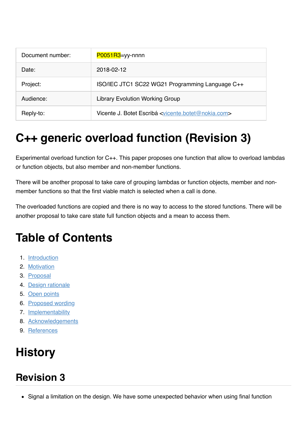| Document number: | $P0051R3$ =yy-nnnn                                                           |
|------------------|------------------------------------------------------------------------------|
| Date:            | 2018-02-12                                                                   |
| Project:         | ISO/IEC JTC1 SC22 WG21 Programming Language C++                              |
| Audience:        | <b>Library Evolution Working Group</b>                                       |
| Reply-to:        | Vicente J. Botet Escribá <vicente.botet@nokia.com></vicente.botet@nokia.com> |

# **C++ generic overload function (Revision 3)**

Experimental overload function for C++. This paper proposes one function that allow to overload lambdas or function objects, but also member and non-member functions.

There will be another proposal to take care of grouping lambdas or function objects, member and nonmember functions so that the first viable match is selected when a call is done.

The overloaded functions are copied and there is no way to access to the stored functions. There will be another proposal to take care state full function objects and a mean to access them.

# **Table of Contents**

- 1. [Introduction](file:///Users/viboes/github/tags/doc/proposals/overload/p0051r3.md#introduction)
- 2. [Motivation](file:///Users/viboes/github/tags/doc/proposals/overload/p0051r3.md#motivation)
- 3. [Proposal](file:///Users/viboes/github/tags/doc/proposals/overload/p0051r3.md#proposal)
- 4. [Design rationale](file:///Users/viboes/github/tags/doc/proposals/overload/p0051r3.md#design-rationale)
- 5. [Open points](file:///Users/viboes/github/tags/doc/proposals/overload/p0051r3.md#open-points)
- 6. [Proposed wording](file:///Users/viboes/github/tags/doc/proposals/overload/p0051r3.md#proposed-wording)
- 7. **[Implementability](file:///Users/viboes/github/tags/doc/proposals/overload/p0051r3.md#implementability)**
- 8. [Acknowledgements](file:///Users/viboes/github/tags/doc/proposals/overload/p0051r3.md#acknowledgements)
- 9. [References](file:///Users/viboes/github/tags/doc/proposals/overload/p0051r3.md#references)

# **History**

### **Revision 3**

• Signal a limitation on the design. We have some unexpected behavior when using final function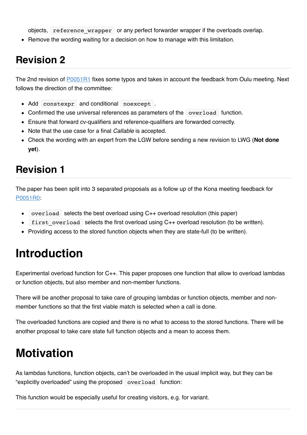objects, reference\_wrapper or any perfect forwarder wrapper if the overloads overlap.

• Remove the wording waiting for a decision on how to manage with this limitation.

### **Revision 2**

The 2nd revision of [P0051R1](http://www.open-std.org/jtc1/sc22/wg21/docs/papers/2015/p0051r1.pdf) fixes some typos and takes in account the feedback from Oulu meeting. Next follows the direction of the committee:

- Add constexpr and conditional noexcept.
- Confirmed the use universal references as parameters of the overload function.
- Ensure that forward cv-qualifiers and reference-qualifiers are forwarded correctly.
- Note that the use case for a final *Callable* is accepted.
- Check the wording with an expert from the LGW before sending a new revision to LWG (**Not done yet**).

### **Revision 1**

The paper has been split into 3 separated proposals as a follow up of the Kona meeting feedback for [P0051R0:](http://www.open-std.org/jtc1/sc22/wg21/docs/papers/2015/p0051r0.pdf)

- overload selects the best overload using C++ overload resolution (this paper)
- first overload selects the first overload using C++ overload resolution (to be written).
- Providing access to the stored function objects when they are state-full (to be written).

## **Introduction**

Experimental overload function for C++. This paper proposes one function that allow to overload lambdas or function objects, but also member and non-member functions.

There will be another proposal to take care of grouping lambdas or function objects, member and nonmember functions so that the first viable match is selected when a call is done.

The overloaded functions are copied and there is no what to access to the stored functions. There will be another proposal to take care state full function objects and a mean to access them.

## **Motivation**

As lambdas functions, function objects, can't be overloaded in the usual implicit way, but they can be "explicitly overloaded" using the proposed overload function:

This function would be especially useful for creating visitors, e.g. for variant.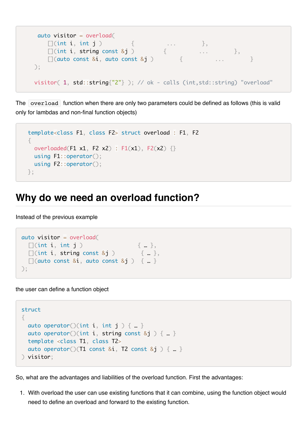```
 auto visitor = overload(
\Box (int i, int j ) \Box ... },
\Box (int i, string const &j ) \Box ... \Box,
      [](int i, string const &j ) \{ ... },<br>[[auto const &i, auto const &j ) \{ ... }
    );
    visitor( 1, std::string{"2"} ); // ok - calls (int,std::string) "overload"
```
The overload function when there are only two parameters could be defined as follows (this is valid only for lambdas and non-final function objects)

```
 template<class F1, class F2> struct overload : F1, F2
\{overloaded(F1 x1, F2 x2) : F1(x1), F2(x2) \{\} using F1::operator();
   using F2::operator();
 };
```
#### **Why do we need an overload function?**

Instead of the previous example

```
auto visitor = overload(
    \lceil (int i, int j ) \lceil \lceil \lceil \lceil \lceil \lceil \lceil \lceil \lceil \lceil \lceil \lceil \lceil \lceil \lceil \lceil \lceil \lceil \lceil \lceil \lceil \lceil \lceil \lceil \lceil \lceil \lceil \lceil \lceil \lceil \lceil \lceil \lceil \Box (int i, string const &j ) \Box\Box(auto const &i, auto const &j ) { ... }
);
```
the user can define a function object

```
struct 
{
 auto operator()(int i, int j \} ...}
  auto operator()(int i, string const &j ) { ... }
  template <class T1, class T2>
  auto operator()(T1 const &i, T2 const &j ) \{ \dots \}) visitor;
```
So, what are the advantages and liabilities of the overload function. First the advantages:

1. With overload the user can use existing functions that it can combine, using the function object would need to define an overload and forward to the existing function.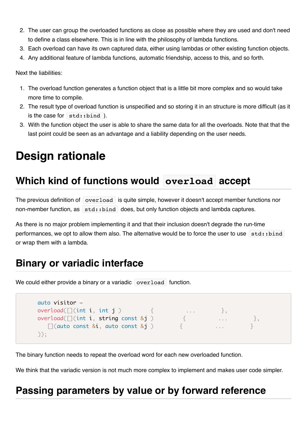- 2. The user can group the overloaded functions as close as possible where they are used and don't need to define a class elsewhere. This is in line with the philosophy of lambda functions.
- 3. Each overload can have its own captured data, either using lambdas or other existing function objects.
- 4. Any additional feature of lambda functions, automatic friendship, access to this, and so forth.

Next the liabilities:

- 1. The overload function generates a function object that is a little bit more complex and so would take more time to compile.
- 2. The result type of overload function is unspecified and so storing it in an structure is more difficult (as it is the case for std::bind ).
- 3. With the function object the user is able to share the same data for all the overloads. Note that that the last point could be seen as an advantage and a liability depending on the user needs.

# **Design rationale**

### **Which kind of functions would overload accept**

The previous definition of overload is quite simple, however it doesn't accept member functions nor non-member function, as  $\vert$  std::bind  $\vert$  does, but only function objects and lambda captures.

As there is no major problem implementing it and that their inclusion doesn't degrade the run-time performances, we opt to allow them also. The alternative would be to force the user to use std: : bind or wrap them with a lambda.

#### **Binary or variadic interface**

We could either provide a binary or a variadic overload function.

```
 auto visitor =
overload([] (int i, int j])overload([\text{int } i, string const & j]) { \dots },
     \lceil (quto const &i, quto const &i) \lceil \lceil \lceil \lceil \lceil \lceil \lceil \lceil \lceil \lceil \lceil \lceil \lceil \lceil \lceil \lceil \lceil \lceil \lceil \lceil \lceil \lceil \lceil \lceil \lceil \lceil \lceil \lceil \lceil \lceil \lceil ));
```
The binary function needs to repeat the overload word for each new overloaded function.

We think that the variadic version is not much more complex to implement and makes user code simpler.

#### **Passing parameters by value or by forward reference**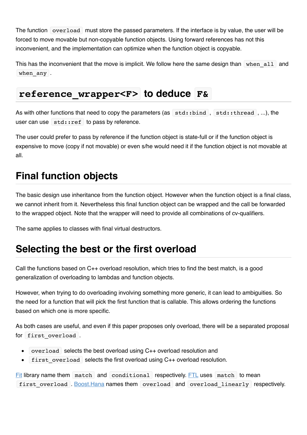The function overload must store the passed parameters. If the interface is by value, the user will be forced to move movable but non-copyable function objects. Using forward references has not this inconvenient, and the implementation can optimize when the function object is copyable.

This has the inconvenient that the move is implicit. We follow here the same design than when all and when any .

#### **reference\_wrapper<F> to deduce F&**

As with other functions that need to copy the parameters (as  $|\text{std:ibind}|$ ,  $|\text{std:ibread}|$ , ...), the user can use  $\vert$  std: : ref to pass by reference.

The user could prefer to pass by reference if the function object is state-full or if the function object is expensive to move (copy if not movable) or even s/he would need it if the function object is not movable at all.

### **Final function objects**

The basic design use inheritance from the function object. However when the function object is a final class, we cannot inherit from it. Nevertheless this final function object can be wrapped and the call be forwarded to the wrapped object. Note that the wrapper will need to provide all combinations of cv-qualifiers.

The same applies to classes with final virtual destructors.

#### **Selecting the best or the first overload**

Call the functions based on C++ overload resolution, which tries to find the best match, is a good generalization of overloading to lambdas and function objects.

However, when trying to do overloading involving something more generic, it can lead to ambiguities. So the need for a function that will pick the first function that is callable. This allows ordering the functions based on which one is more specific.

As both cases are useful, and even if this paper proposes only overload, there will be a separated proposal for first overload .

- overload selects the best overload using C++ overload resolution and  $\bullet$
- first\_overload selects the first overload using C++ overload resolution.

[Fit](https://github.com/pfultz2/Fit) library name them match and conditional respectively. [FTL](https://github.com/beark/ftl) uses match to mean first overload . [Boost.Hana](http://boostorg.github.io/hana/) names them overload and overload linearly respectively.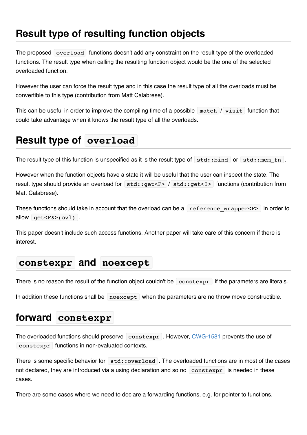### **Result type of resulting function objects**

The proposed overload functions doesn't add any constraint on the result type of the overloaded functions. The result type when calling the resulting function object would be the one of the selected overloaded function.

However the user can force the result type and in this case the result type of all the overloads must be convertible to this type (contribution from Matt Calabrese).

This can be useful in order to improve the compiling time of a possible  $\lceil \cdot \rceil$  match  $\lceil \cdot \rceil$  function that could take advantage when it knows the result type of all the overloads.

### **Result type of overload**

The result type of this function is unspecified as it is the result type of  $|$  std::bind or  $|$  std::mem fn .

However when the function objects have a state it will be useful that the user can inspect the state. The result type should provide an overload for  $|\text{std::get}\leq r|$  std:  $|\text{get}\leq r|$  functions (contribution from Matt Calabrese).

These functions should take in account that the overload can be a reference wrapper<F> in order to allow  $get < F> (ov1)$ .

This paper doesn't include such access functions. Another paper will take care of this concern if there is interest.

#### **constexpr and noexcept**

There is no reason the result of the function object couldn't be constexpr if the parameters are literals.

In addition these functions shall be noexcept when the parameters are no throw move constructible.

#### **forward constexpr**

The overloaded functions should preserve constexpr . However, [CWG-1581](http://www.open-std.org/jtc1/sc22/wg21/docs/cwg_active.html#1581) prevents the use of constexpr functions in non-evaluated contexts.

There is some specific behavior for  $|$  std:: overload . The overloaded functions are in most of the cases not declared, they are introduced via a using declaration and so no constexpr is needed in these cases.

There are some cases where we need to declare a forwarding functions, e.g. for pointer to functions.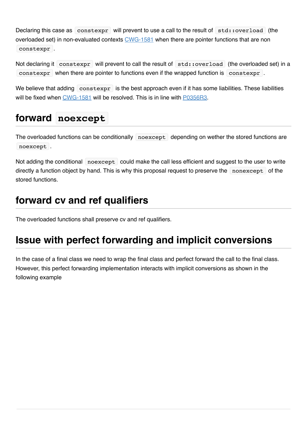Declaring this case as constexpr will prevent to use a call to the result of  $|$  std::overload (the overloaded set) in non-evaluated contexts [CWG-1581](http://www.open-std.org/jtc1/sc22/wg21/docs/cwg_active.html#1581) when there are pointer functions that are non constexpr .

Not declaring it constexpr will prevent to call the result of std::overload (the overloaded set) in a constexpr when there are pointer to functions even if the wrapped function is constexpr.

We believe that adding constexpr is the best approach even if it has some liabilities. These liabilities will be fixed when [CWG-1581](http://www.open-std.org/jtc1/sc22/wg21/docs/cwg_active.html#1581) will be resolved. This is in line with [P0356R3](http://www.open-std.org/jtc1/sc22/wg21/docs/papers/2017/p0356r3.html).

### **forward noexcept**

The overloaded functions can be conditionally noexcept depending on wether the stored functions are noexcept .

Not adding the conditional noexcept could make the call less efficient and suggest to the user to write directly a function object by hand. This is why this proposal request to preserve the nonexcept of the stored functions.

### **forward cv and ref qualifiers**

The overloaded functions shall preserve cv and ref qualifiers.

### **Issue with perfect forwarding and implicit conversions**

In the case of a final class we need to wrap the final class and perfect forward the call to the final class. However, this perfect forwarding implementation interacts with implicit conversions as shown in the following example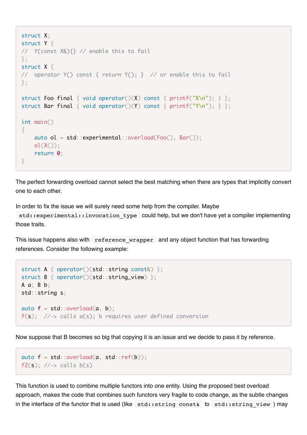```
struct X;
struct Y {
// Y(const X&){} // enable this to fail
};
struct X {
// operator Y() const { return Y(); } // or enable this to fail
};
struct Foo final { void operator()(X) const { printf("X\n"); } };
struct Bar final { void operator()(Y) const { printf("Y\n"); } };
int main()
{
    auto ol = std::experimental::overload(Foo(), Bar());
    ol(X());
     return 0;
}
```
The perfect forwarding overload cannot select the best matching when there are types that implicitly convert one to each other.

In order to fix the issue we will surely need some help from the compiler. Maybe

std::experimental::invocation\_type could help, but we don't have yet a compiler implementing those traits.

This issue happens also with reference wrapper and any object function that has forwarding references. Consider the following example:

```
struct A { operator()(std::string const&) };
struct B { operator()(std::string_view) };
A a; B b;
std::string s;
auto f = std::overload(a, b);f(s); //-> calls a(s); b requires user defined conversion
```
Now suppose that B becomes so big that copying it is an issue and we decide to pass it by reference.

```
auto f = std::overload(a, std::ref(b));f2(s); //\rightarrow calls b(s)
```
This function is used to combine multiple functors into one entity. Using the proposed best overload approach, makes the code that combines such functors very fragile to code change, as the subtle changes in the interface of the functor that is used (like  $|$  std::string const&  $|$  to  $|$  std::string view  $|$ ) may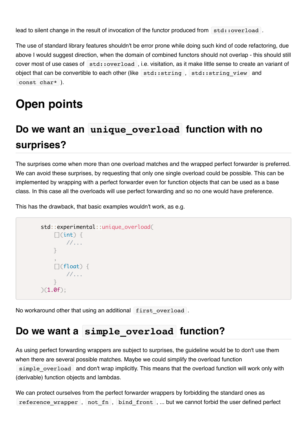lead to silent change in the result of invocation of the functor produced from  $|\text{std::overload}|$ .

The use of standard library features shouldn't be error prone while doing such kind of code refactoring, due above I would suggest direction, when the domain of combined functors should not overlap - this should still cover most of use cases of std::overload, i.e. visitation, as it make little sense to create an variant of object that can be convertible to each other (like  $|$  std::string , std::string view and const char\* ).

## **Open points**

# **Do we want an unique\_overload function with no surprises?**

The surprises come when more than one overload matches and the wrapped perfect forwarder is preferred. We can avoid these surprises, by requesting that only one single overload could be possible. This can be implemented by wrapping with a perfect forwarder even for function objects that can be used as a base class. In this case all the overloads will use perfect forwarding and so no one would have preference.

This has the drawback, that basic examples wouldn't work, as e.g.

```
 std::experimental::unique_overload(
         \lceil(int) {
             //...
 }
 ,
        \lceil (float) {
            //...
 }
     )(1.0f);
```
No workaround other that using an additional first overload.

#### **Do we want a simple\_overload function?**

As using perfect forwarding wrappers are subject to surprises, the guideline would be to don't use them when there are several possible matches. Maybe we could simplify the overload function simple\_overload and don't wrap implicitly. This means that the overload function will work only with (derivable) function objects and lambdas.

We can protect ourselves from the perfect forwarder wrappers by forbidding the standard ones as reference wrapper, not fn, bind front, ... but we cannot forbid the user defined perfect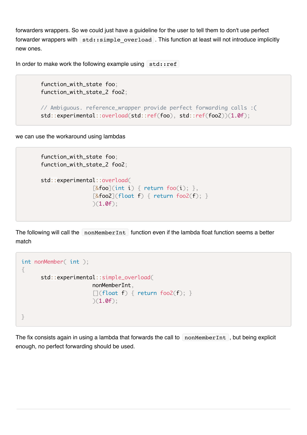forwarders wrappers. So we could just have a guideline for the user to tell them to don't use perfect forwarder wrappers with  $\mathbf{S}$  std:: simple overload. This function at least will not introduce implicitly new ones.

In order to make work the following example using  $std:ref$ 

 function\_with\_state foo; function\_with\_state\_2 foo2;

```
 // Ambiguous. reference_wrapper provide perfect forwarding calls :(
 std::experimental::overload(std::ref(foo), std::ref(foo2))(1.0f);
```
we can use the workaround using lambdas

```
 function_with_state foo;
 function_with_state_2 foo2;
 std::experimental::overload(
                 [\&foo](int i) { return foo(i); },
                 \lceil&foo2](float f) { return foo2(f); }
                 )(1.0f);
```
The following will call the nonMemberInt function even if the lambda float function seems a better match

```
int nonMember( int );
{
       std::experimental::simple_overload(
                       nonMemberInt,
                      [](float f) { return foo2(f); }
                      )(1.0f);}
```
The fix consists again in using a lambda that forwards the call to nonMemberInt, but being explicit enough, no perfect forwarding should be used.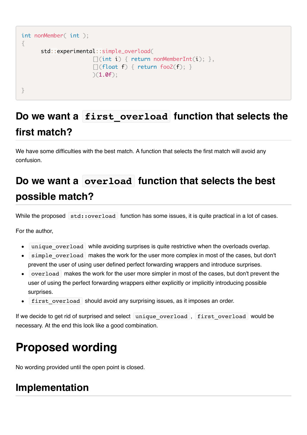```
int nonMember( int );
\{ std::experimental::simple_overload(
                        \lceil(int i) { return nonMemberInt(i); },
                        \lceil (float f) { return foo2(f); }
                        )(1.0f);}
```
# **Do we want a first\_overload function that selects the first match?**

We have some difficulties with the best match. A function that selects the first match will avoid any confusion.

# **Do we want a overload function that selects the best possible match?**

While the proposed std::overload function has some issues, it is quite practical in a lot of cases.

For the author,

- unique overload while avoiding surprises is quite restrictive when the overloads overlap.
- simple overload makes the work for the user more complex in most of the cases, but don't prevent the user of using user defined perfect forwarding wrappers and introduce surprises.
- overload makes the work for the user more simpler in most of the cases, but don't prevent the user of using the perfect forwarding wrappers either explicitly or implicitly introducing possible surprises.
- first overload should avoid any surprising issues, as it imposes an order.  $\bullet$

If we decide to get rid of surprised and select unique overload, first overload would be necessary. At the end this look like a good combination.

# **Proposed wording**

No wording provided until the open point is closed.

### **Implementation**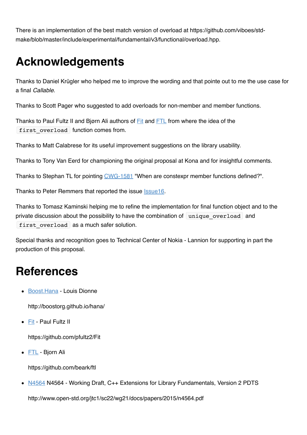There is an implementation of the best match version of overload at https://github.com/viboes/stdmake/blob/master/include/experimental/fundamental/v3/functional/overload.hpp.

# **Acknowledgements**

Thanks to Daniel Krügler who helped me to improve the wording and that pointe out to me the use case for a final *Callable*.

Thanks to Scott Pager who suggested to add overloads for non-member and member functions.

Thanks to Paul Fultz II and Bjørn Ali authors of [Fit](https://github.com/pfultz2/Fit) and [FTL](https://github.com/beark/ftl) from where the idea of the first overload function comes from.

Thanks to Matt Calabrese for its useful improvement suggestions on the library usability.

Thanks to Tony Van Eerd for championing the original proposal at Kona and for insightful comments.

Thanks to Stephan TL for pointing [CWG-1581](http://www.open-std.org/jtc1/sc22/wg21/docs/cwg_active.html#1581) "When are constexpr member functions defined?".

Thanks to Peter Remmers that reported the issue [Issue16.](https://github.com/viboes/std-make/issues/16)

Thanks to Tomasz Kaminski helping me to refine the implementation for final function object and to the private discussion about the possibility to have the combination of unique overload and first overload as a much safer solution.

Special thanks and recognition goes to Technical Center of Nokia - Lannion for supporting in part the production of this proposal.

## **References**

[Boost.Hana](http://boostorg.github.io/hana/) - Louis Dionne

http://boostorg.github.io/hana/

[Fit](https://github.com/pfultz2/Fit) - Paul Fultz II

https://github.com/pfultz2/Fit

• [FTL](https://github.com/beark/ftl) - Bjorn Ali

https://github.com/beark/ftl

• [N4564](http://www.open-std.org/jtc1/sc22/wg21/docs/papers/2015/n4564.pdf) N4564 - Working Draft, C++ Extensions for Library Fundamentals, Version 2 PDTS

http://www.open-std.org/jtc1/sc22/wg21/docs/papers/2015/n4564.pdf